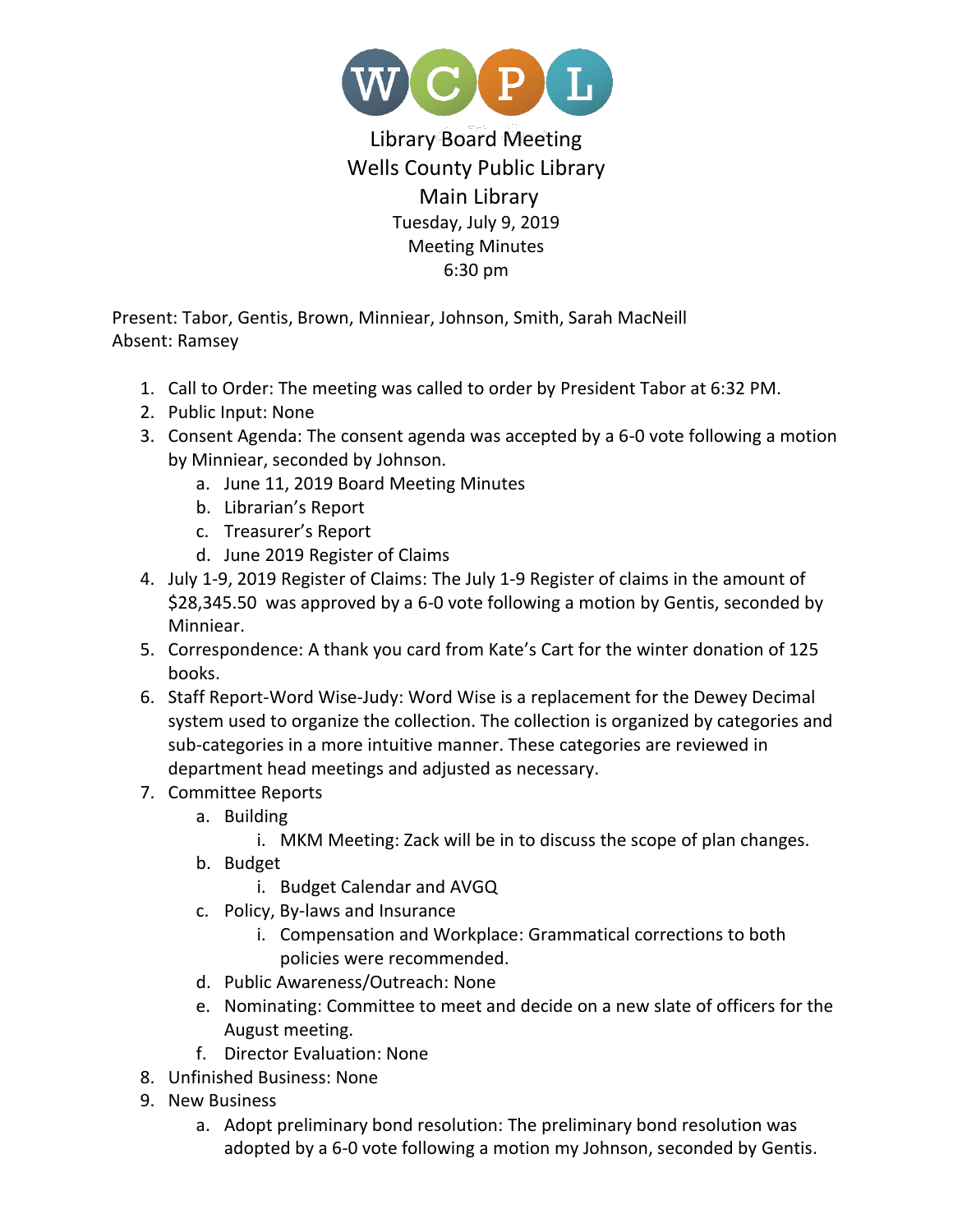

## Library Board Meeting Wells County Public Library Main Library Tuesday, July 9, 2019 Meeting Minutes 6:30 pm

Present: Tabor, Gentis, Brown, Minniear, Johnson, Smith, Sarah MacNeill Absent: Ramsey

- 1. Call to Order: The meeting was called to order by President Tabor at 6:32 PM.
- 2. Public Input: None
- 3. Consent Agenda: The consent agenda was accepted by a 6-0 vote following a motion by Minniear, seconded by Johnson.
	- a. June 11, 2019 Board Meeting Minutes
	- b. Librarian's Report
	- c. Treasurer's Report
	- d. June 2019 Register of Claims
- 4. July 1-9, 2019 Register of Claims: The July 1-9 Register of claims in the amount of \$28,345.50 was approved by a 6-0 vote following a motion by Gentis, seconded by Minniear.
- 5. Correspondence: A thank you card from Kate's Cart for the winter donation of 125 books.
- 6. Staff Report-Word Wise-Judy: Word Wise is a replacement for the Dewey Decimal system used to organize the collection. The collection is organized by categories and sub-categories in a more intuitive manner. These categories are reviewed in department head meetings and adjusted as necessary.
- 7. Committee Reports
	- a. Building
		- i. MKM Meeting: Zack will be in to discuss the scope of plan changes.
	- b. Budget
		- i. Budget Calendar and AVGQ
	- c. Policy, By-laws and Insurance
		- i. Compensation and Workplace: Grammatical corrections to both policies were recommended.
	- d. Public Awareness/Outreach: None
	- e. Nominating: Committee to meet and decide on a new slate of officers for the August meeting.
	- f. Director Evaluation: None
- 8. Unfinished Business: None
- 9. New Business
	- a. Adopt preliminary bond resolution: The preliminary bond resolution was adopted by a 6-0 vote following a motion my Johnson, seconded by Gentis.